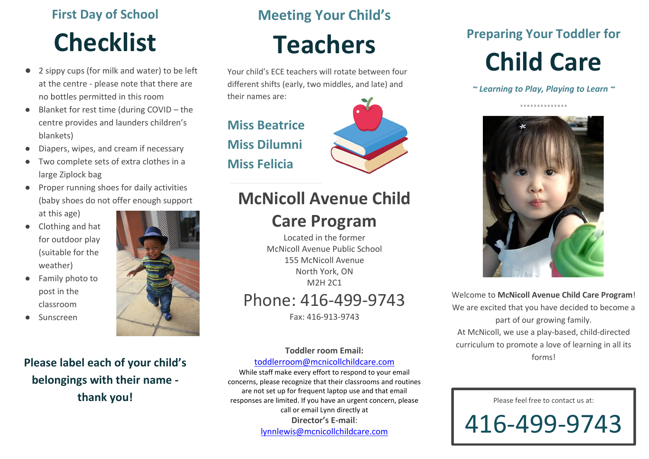## **First Day of School**

# **Checklist**

- 2 sippy cups (for milk and water) to be left at the centre - please note that there are no bottles permitted in this room
- Blanket for rest time (during COVID the centre provides and launders children's blankets)
- Diapers, wipes, and cream if necessary
- Two complete sets of extra clothes in a large Ziplock bag
- Proper running shoes for daily activities (baby shoes do not offer enough support at this age)
- Clothing and hat for outdoor play (suitable for the weather)
- Family photo to post in the classroom
- Sunscreen



## **Please label each of your child's belongings with their name -**

**thank you!**

### **Meeting Your Child's**

# **Teachers**

Your child's ECE teachers will rotate between four different shifts (early, two middles, and late) and their names are:

**Miss Beatrice Miss Dilumni Miss Felicia**



## **McNicoll Avenue Child**

### **Care Program**

Located in the former McNicoll Avenue Public School 155 McNicoll Avenue North York, ON M2H 2C1 Phone: 416-499-9743

Fax: 416-913-9743

#### **Toddler room Email:**

#### [toddlerroom@mcnicollchildcare.com](mailto:toddlerroom@mcnicollchildcare.com)

While staff make every effort to respond to your email concerns, please recognize that their classrooms and routines are not set up for frequent laptop use and that email responses are limited. If you have an urgent concern, please call or email Lynn directly at **Director's E-mail**: [lynnlewis@mcnicollchildcare.com](mailto:lynnlewis@mcnicollchildcare.com)

### **Preparing Your Toddler for**

# **Child Care**

*~ Learning to Play, Playing to Learn ~*



Welcome to **McNicoll Avenue Child Care Program**! We are excited that you have decided to become a part of our growing family. At McNicoll, we use a play-based, child-directed curriculum to promote a love of learning in all its forms!

Please feel free to contact us at: